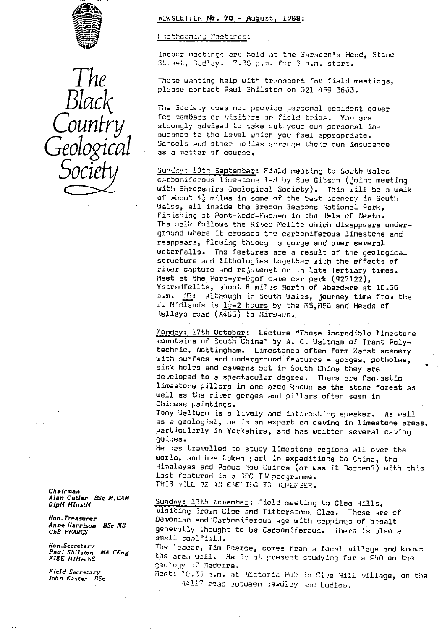



Chairman *Alan* Cutler 8Sc *M.CAM*

Hon.Secretary<br>Paul Shilston - MA-CEng *FIFE MlMechE*

*Field* Secretary John Easter BSc

### NEWSLETTER Ma. 70 — August, 1968 :

#### Forthouming Meetings:

Indoor maetings are held at the Saracen's Head, Stone Street, Dudley. 7.30 p.m. for 3 p.m. start.

Those wanting help with transport for field meetings, please contact Paul Shilston on 021 459 3603.

The Society does not provide personal accident cover for mambers or visiters on field trips. You ara strongly advised to take out your own personal insurance to the lavel which you feel appropriate. Schools and other bodies arrange their own insurance as a matter of course.

Sunday: 13th September: Field meeting to South Wales carooniferous limestone led by Sue Gibson (joint meeting with Shropshire Geological Society). This will be a walk of about  $4\frac{1}{2}$  miles in some of the best scenery in South halos, all inside the 3recon beacons National Park, finishing at Pont-Nedd-Fechen in the Wale of Neath. The walk follows the River Mellte which disappears underground where it crosses the carioniferous limestone and reappears, flowing through a gorge and over several waterfalls. The features are a result of the geological structure and lithologies together with the effects of river capture and rejuvenation in late Tertiary times. Meet at the Port-yr-Ogof cave car park (927122), Ystradfellte, about 8 miles North of Aberdare at 10.30 a.m. M3: Although in South Wales, journey time from the  $\mathbb U$ . Midlands is  $\frac{1}{2}$  hours by the MS,M50 and Heads of Valleys road (A465) to Hirwaun.

Monday: 17th October: Lecture "Those incredible limestone mountains of South China" by A. C. Waltham of Trent Polytechnic, Nottingham. Limestones often form Karst scenery with surface and underground features - gorges, potholes, sink holes and caverns but in South China they are developed to a spectacular degree. There are fantastic limestone pillars in one area known as the stone forest as well as the river gorges and pillars often seen in Chinese paintings.

Tony Jaltbam is a lively and interesting speaker. As well as a geologist, he is an expert on caving in limestone areas, particularly in Yorkshire, and has written several caving guides.

He has travelled to study limestone regions all over the world, and has taken part in expeditions to China, the Himalayas and Papua New Guinea (or was it Rorneo?) with this last featured in a *330* TV programme. THIS WILL 35 AN EVENING TO REPERSER.

*DipM M%nstM* Sunda 13th her : Field meeting to Clee Hills, visiting Grown Clae and Tittarston. Clae. These are of Hon.Treasurer Devonian and Carboniferous ace with coppings of 3--salt *Anne* Harrison *BSc M\$* generally thought to be Carboniferous. There is also a small coalfield.

> *Paul MA CEng* The laader, Tim Pearce, comes from a local village and knows the area well. He is at present studying for a PhO on the geology of Madeira.

Meet: 10.30 p.m. at Victoria Pub in Clee Hill village, on the k-'^ 117 ro,d 'jetueen ;ewdia <sup>y</sup> <sup>31</sup>- id Ludlow.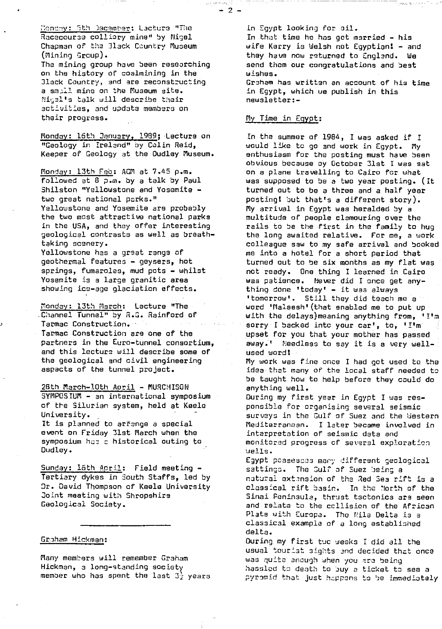Monday: 5th December: Lacture "The Racecourse colliery mine" by Nigel Chapman of the 31ack Country Museum (Mining Group).

The mining group have been researching on the history of coalmining in the flack Country, and are reconstructing a small mine on the Museum site. Ei,-sl's talk *will* describe their activities, and update members on their progress.

Monday: 16th January, 1989; Lecture on "Geology in Ireland" by Colin Reid, Keeper of Geology at the Dudley Museum.

Monday: 13th Feb: AGM at 7.45 p.m. followed at 8 p.m. by a talk by Paul Shilston "Yellowstone and Yosemite two great national parks." Yellowstone and Yosemite are probably the two most attractive national parks in the USA, and they *offer* interesting geological contrasts as well as breathtaking scenery.

Yellowstone has a great range of geothermal features - geysers, hot springs, fumaroles, mud pats - whilst Yosemite is a large granitic area showing ice-age glaciation effects.

Monday: 13th March: Lecture "The *Channel* Tunnel" by R.G. Rainford of Tarmac Construction. Tarmac Construction are one of the partners in the Euro-tunnel. consortium, and this lecture will describe some of the geological and civil engineering aspects of the tunnel project.

28th March-10th Aoril - MURCHISON SYMPOSIUM - an international symposium of the Silurian system, held at Keele University. It is planned to arrange a special

event on Friday 31st March when the symposium her c historical outing to Dudley.

Sunday: loth April: Field meeting -Tertiary dykes in South Staffs, led by Dr. David Thompson of Keele University Joint meeting with Shropshire Geological Society.

### Graham Hickman :

Many members will remember Graham Hickman, a long-standing society member who has spent the last 3<sup>3</sup> years in Egypt looking for oil. In that time he has got married - his wife Kerry is Welsh not Egyptian! - and they have now returned to England. We send them our congratulations and best wishes.

Graham has written an account of his time in Egypt, which ue publish in this newsletter:-

#### MyTime in Egypt :

 $-2 -$ 

 $\mathcal{L} \in \mathcal{S}$  .  $\mathcal{S}$ 

In the summer of 1984, 1 was asked if I would like tc go and work in Egypt. My enthusiasm for the posting must have been obvious because ay October 31st I was sat on a plane travelling to Cairo for what was supposed to be a two year posting. (It turned out to be a three and a half year posting! but that's a different story). My arrival in Egypt was heralded by a multitude of people clamouring over the rails to be the first in the family to hug the long awaited relative. For me, a work colleague saw to my safe arrival and booked inc into a hotel for a short period that turned out to be six months as *my* flat was not ready. One thing I learned in Cairo was patience. Never did I once get anything done 'today'. - it was always 'tomorrow'. Still they did teach me a word 'Maleesh' (that enabled me to put up *with the* delays)-meaning anything from, 'I'm sorry I backed into your car', to, 'I'm upset for you that your mother has passed away.' Needless to say it is a very wellused word! My work was fine once I had got used to the idea that many of the local staff needed to be taught how to help before they could do anything well. During *my* first year in Egypt I was responsible for organising several seismic surveys in the Gulf of Suez and *the* western Mediterranean. *I later became involved in* intarpretation of seismic data and monitored progress of several exploration wells. Egypt possesces many different geological sattings. The Sul? of Suez being a natu:ai ext nsion of the led Sea *rift is a* classical rift basin. In the *North of the* Sinai Peninsula, thrust tectonics are seen

and relate to the collision of the African Plate with Europa. The Mile Delta is a classical example of a long established delta.

During my first tuc weeks I did all the usual tourist sights end decided that once was quite anough when you are being hassled to death to *auy* a ticket to sea a pyramid that just happens to be immediately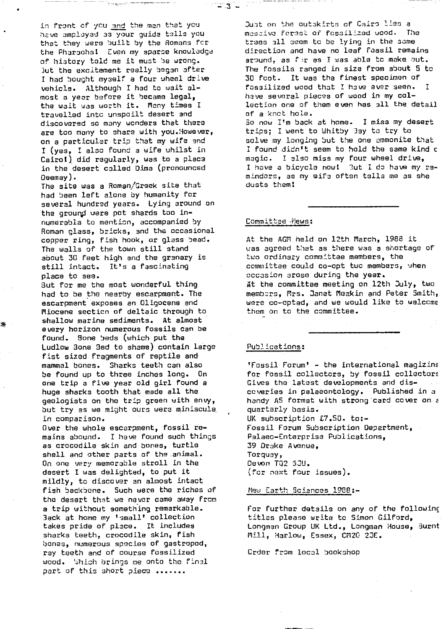in front of ycu and the man that you have amployed as your guide tells you that they were built by the Romans for the Pharaohs: Even my sparse knowladga of history told me it must be wrong. 3ut the excitement really began after I had bought myself a four wheel drive vehicle. Although I had to wait almost a year before it became legal, the wait was worth it. Meny times I travelled into unspailt desert and discovered so many wonders that there are too many to share with you.Howe ver, on a particular trip that my wife and I (yes, i also found a wife whilst in Cairo!) did regularly, was to a place in the desert called Dime (pronounced Deemay).

. . . . . . . . . .

The site was a Roman/Greek site that had been left alone by humanity for several hundred years. Lying around on the ground were pot shards too innumerable to mention, accompanied by Roman glass, bricks, and the occasional copper ring, fish hook, or glass bead. The walls of the town still stand about 30 feet high and the granary is still intact. it's a fascinating place to see.

3ut for me the most wonderful thing had to be the nearby escarpment. The escarpment exposes an Oligocene and Miocene section of deltaic through to shallow marine sediments. At almost every horizon numerous fossils can be found. Bone beds (which put the Ludlow 3one 3ed to shame) contain large fist sized fragments of reptile and mammal bones. Sharks teeth can also be found up to three inches long. On one trip a five year old girl found a huge sharks tooth that made all the geologists on the trip green with envy, but try as we might ours were miniscule. in comparison.

Over the whole escarpment, fossil remains abound. I have found such things as crocodile skin and bones, turtle shell and other parts of the animal. On one very memorable stroll in the desert I was delighted, to put it mildly, to discover an almost intact fish backbone. Such were the riches of the desert that we never came away from a trip without something remarkable. Sack at home my 'small' collection takes pride of place. It includes sharks teeth, crocodile skin, fish bones, numerous species of gastropod, ray teeth and of course fossilized wood. Shich brings me onto the final part of this short piece .......

Just on the outskirts of Cairo lies a mas\_iva forest of fcssil *zed wood. The* trees 311 seem tc be lying in the some direction and have no leaf fossil remains around, as for as I was able to make out. The fossils ranged in size from about S to 30 foot. It was the finest specimen of fossilized wood that I have ever seen. I have several pieces of wood in my collection one of them even has 311 the detail of a knot hole. So now I'm back at home. I miss my desert trips; I went to Whitby Bay to try to salve my longing but the one ommanite that I found didn't seem to hold the same kind c magic. I also miss my four wheel drive, I have a bicycle now! 3ut i do have my reminders, as my wife often tells me as she dusts them!

#### Committee *-flews:*

≌∷3 —

At the AGM held on 12th March, 1988 it was agreed that as there was a shortage of two ordinary committee members, the committee could co-opt two members, when occasion arose during the year. At the committee meeting on  $12$ th July, two members, Mrs. Janet Meakin and Peter Smith, were co-opted, and we would like to welcome them on to the committee.

### Publications:

 $'F$ ossil  $F$ orum $'$  - the international magizins for fossil collectors, by fossil collectors Gives the latest developments and discoveries in palaeontology. Published in a handy AS format with strong card cover on e quarterly basis. UK subscription £7.50. to:-Fossil Forum Subscription Department, Palaeo-Enterprise Publications, 39 Drake Avenue, Torquay, Devon TQ2 5JU. (far next four issues).

## New Earth Sciences 1988:-

Far further details an any of the following titles please write to Simon Gilford, Longman Group UK Ltd., Longman House, 3urnt Mill, Harlow, Essex, CM20 23E.

Order from loco! 'bookohop